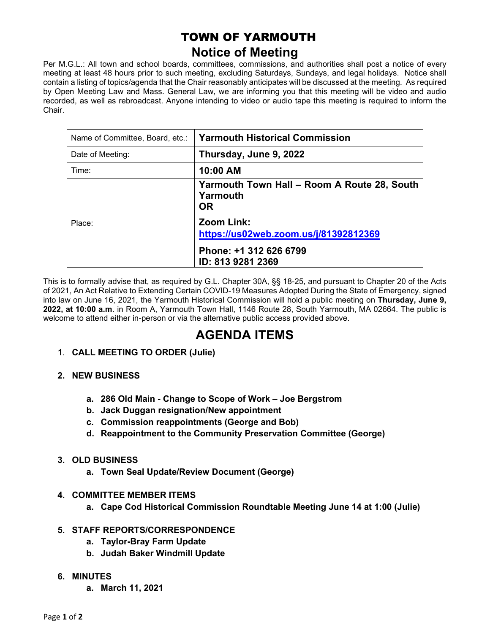## TOWN OF YARMOUTH **Notice of Meeting**

Per M.G.L.: All town and school boards, committees, commissions, and authorities shall post a notice of every meeting at least 48 hours prior to such meeting, excluding Saturdays, Sundays, and legal holidays. Notice shall contain a listing of topics/agenda that the Chair reasonably anticipates will be discussed at the meeting. As required by Open Meeting Law and Mass. General Law, we are informing you that this meeting will be video and audio recorded, as well as rebroadcast. Anyone intending to video or audio tape this meeting is required to inform the Chair.

| Name of Committee, Board, etc.: | <b>Yarmouth Historical Commission</b>                                |
|---------------------------------|----------------------------------------------------------------------|
| Date of Meeting:                | Thursday, June 9, 2022                                               |
| Time:                           | 10:00 AM                                                             |
| Place:                          | Yarmouth Town Hall - Room A Route 28, South<br>Yarmouth<br><b>OR</b> |
|                                 | Zoom Link:<br>https://us02web.zoom.us/j/81392812369                  |
|                                 | Phone: +1 312 626 6799<br>ID: 813 9281 2369                          |

This is to formally advise that, as required by G.L. Chapter 30A, §§ 18-25, and pursuant to Chapter 20 of the Acts of 2021, An Act Relative to Extending Certain COVID-19 Measures Adopted During the State of Emergency, signed into law on June 16, 2021, the Yarmouth Historical Commission will hold a public meeting on **Thursday, June 9, 2022, at 10:00 a.m**. in Room A, Yarmouth Town Hall, 1146 Route 28, South Yarmouth, MA 02664. The public is welcome to attend either in-person or via the alternative public access provided above.

## **AGENDA ITEMS**

- 1. **CALL MEETING TO ORDER (Julie)**
- **2. NEW BUSINESS**
	- **a. 286 Old Main - Change to Scope of Work – Joe Bergstrom**
	- **b. Jack Duggan resignation/New appointment**
	- **c. Commission reappointments (George and Bob)**
	- **d. Reappointment to the Community Preservation Committee (George)**
- **3. OLD BUSINESS**
	- **a. Town Seal Update/Review Document (George)**
- **4. COMMITTEE MEMBER ITEMS**
	- **a. Cape Cod Historical Commission Roundtable Meeting June 14 at 1:00 (Julie)**
- **5. STAFF REPORTS/CORRESPONDENCE**
	- **a. Taylor-Bray Farm Update**
	- **b. Judah Baker Windmill Update**
- **6. MINUTES**
	- **a. March 11, 2021**